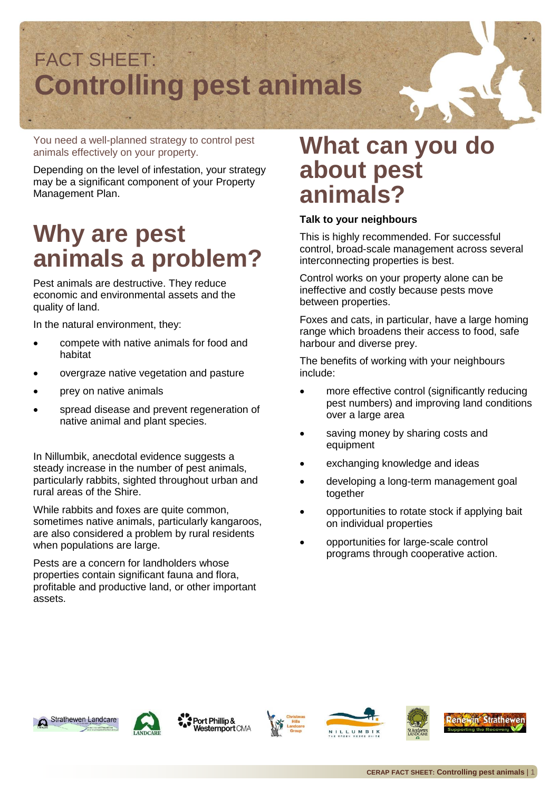

You need a well-planned strategy to control pest animals effectively on your property.

Depending on the level of infestation, your strategy may be a significant component of your Property Management Plan.

## **Why are pest animals a problem?**

Pest animals are destructive. They reduce economic and environmental assets and the quality of land.

In the natural environment, they:

- compete with native animals for food and habitat
- overgraze native vegetation and pasture
- prey on native animals
- spread disease and prevent regeneration of native animal and plant species.

In Nillumbik, anecdotal evidence suggests a steady increase in the number of pest animals, particularly rabbits, sighted throughout urban and rural areas of the Shire.

While rabbits and foxes are quite common, sometimes native animals, particularly kangaroos, are also considered a problem by rural residents when populations are large.

Pests are a concern for landholders whose properties contain significant fauna and flora, profitable and productive land, or other important assets.

#### **What can you do about pest animals?**

#### **Talk to your neighbours**

This is highly recommended. For successful control, broad-scale management across several interconnecting properties is best.

Control works on your property alone can be ineffective and costly because pests move between properties.

Foxes and cats, in particular, have a large homing range which broadens their access to food, safe harbour and diverse prey.

The benefits of working with your neighbours include:

- more effective control (significantly reducing pest numbers) and improving land conditions over a large area
- saving money by sharing costs and equipment
- exchanging knowledge and ideas
- developing a long-term management goal together
- opportunities to rotate stock if applying bait on individual properties
- opportunities for large-scale control programs through cooperative action.





Port Phillip & Westernport CMA